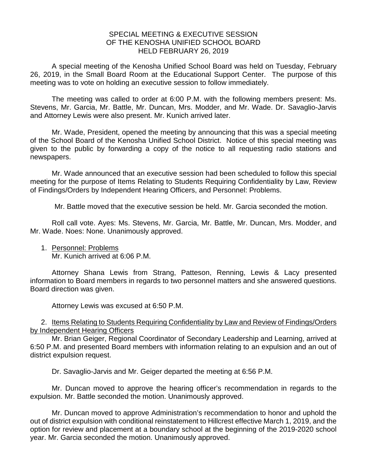## SPECIAL MEETING & EXECUTIVE SESSION OF THE KENOSHA UNIFIED SCHOOL BOARD HELD FEBRUARY 26, 2019

A special meeting of the Kenosha Unified School Board was held on Tuesday, February 26, 2019, in the Small Board Room at the Educational Support Center. The purpose of this meeting was to vote on holding an executive session to follow immediately.

The meeting was called to order at 6:00 P.M. with the following members present: Ms. Stevens, Mr. Garcia, Mr. Battle, Mr. Duncan, Mrs. Modder, and Mr. Wade. Dr. Savaglio-Jarvis and Attorney Lewis were also present. Mr. Kunich arrived later.

Mr. Wade, President, opened the meeting by announcing that this was a special meeting of the School Board of the Kenosha Unified School District. Notice of this special meeting was given to the public by forwarding a copy of the notice to all requesting radio stations and newspapers.

Mr. Wade announced that an executive session had been scheduled to follow this special meeting for the purpose of Items Relating to Students Requiring Confidentiality by Law, Review of Findings/Orders by Independent Hearing Officers, and Personnel: Problems.

Mr. Battle moved that the executive session be held. Mr. Garcia seconded the motion.

Roll call vote. Ayes: Ms. Stevens, Mr. Garcia, Mr. Battle, Mr. Duncan, Mrs. Modder, and Mr. Wade. Noes: None. Unanimously approved.

1. Personnel: Problems Mr. Kunich arrived at 6:06 P.M.

Attorney Shana Lewis from Strang, Patteson, Renning, Lewis & Lacy presented information to Board members in regards to two personnel matters and she answered questions. Board direction was given.

Attorney Lewis was excused at 6:50 P.M.

2. Items Relating to Students Requiring Confidentiality by Law and Review of Findings/Orders by Independent Hearing Officers

Mr. Brian Geiger, Regional Coordinator of Secondary Leadership and Learning, arrived at 6:50 P.M. and presented Board members with information relating to an expulsion and an out of district expulsion request.

Dr. Savaglio-Jarvis and Mr. Geiger departed the meeting at 6:56 P.M.

Mr. Duncan moved to approve the hearing officer's recommendation in regards to the expulsion. Mr. Battle seconded the motion. Unanimously approved.

Mr. Duncan moved to approve Administration's recommendation to honor and uphold the out of district expulsion with conditional reinstatement to Hillcrest effective March 1, 2019, and the option for review and placement at a boundary school at the beginning of the 2019-2020 school year. Mr. Garcia seconded the motion. Unanimously approved.